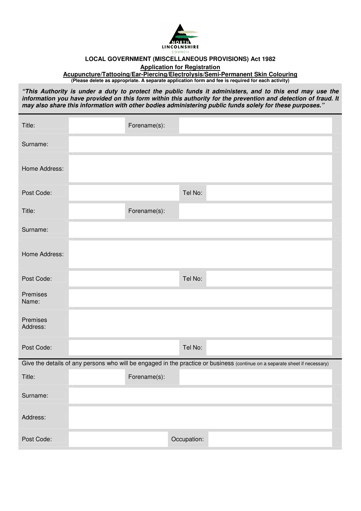

## **LOCAL GOVERNMENT (MISCELLANEOUS PROVISIONS) Act 1982**

**Application for Registration** 

**Acupuncture/Tattooing/Ear-Piercing/Electrolysis/Semi-Permanent Skin Colouring (Please delete as appropriate. A separate application form and fee is required for each activity)** 

**"This Authority is under a duty to protect the public funds it administers, and to this end may use the information you have provided on this form within this authority for the prevention and detection of fraud. It may also share this information with other bodies administering public funds solely for these purposes."**

| Title:               | Forename(s):                                                                                                                |
|----------------------|-----------------------------------------------------------------------------------------------------------------------------|
| Surname:             |                                                                                                                             |
| Home Address:        |                                                                                                                             |
| Post Code:           | Tel No:                                                                                                                     |
| Title:               | Forename(s):                                                                                                                |
| Surname:             |                                                                                                                             |
| Home Address:        |                                                                                                                             |
| Post Code:           | Tel No:                                                                                                                     |
| Premises<br>Name:    |                                                                                                                             |
| Premises<br>Address: |                                                                                                                             |
| Post Code:           | Tel No:                                                                                                                     |
|                      | Give the details of any persons who will be engaged in the practice or business (continue on a separate sheet if necessary) |
| Title:               | Forename(s):                                                                                                                |
| Surname:             |                                                                                                                             |
| Address:             |                                                                                                                             |
| Post Code:           | Occupation:                                                                                                                 |